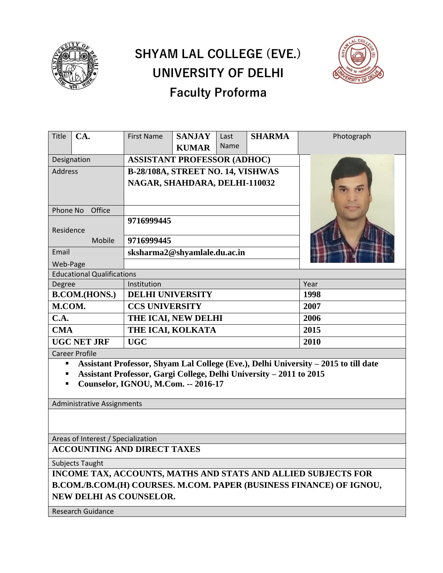

## **SHYAM LAL COLLEGE (EVE.) UNIVERSITY OF DELHI Faculty Proforma**



| <b>Title</b>                      | CA.    | <b>First Name</b>                  | <b>SANJAY</b> | Last        | <b>SHARMA</b> | Photograph |
|-----------------------------------|--------|------------------------------------|---------------|-------------|---------------|------------|
|                                   |        |                                    | <b>KUMAR</b>  | <b>Name</b> |               |            |
| Designation                       |        | <b>ASSISTANT PROFESSOR (ADHOC)</b> |               |             |               |            |
| <b>Address</b>                    |        | B-28/108A, STREET NO. 14, VISHWAS  |               |             |               |            |
|                                   |        | NAGAR, SHAHDARA, DELHI-110032      |               |             |               |            |
| Office<br>Phone No                |        |                                    |               |             |               |            |
| Residence                         |        | 9716999445                         |               |             |               |            |
|                                   | Mobile | 9716999445                         |               |             |               |            |
| Email                             |        | sksharma2@shyamlale.du.ac.in       |               |             |               |            |
| Web-Page                          |        |                                    |               |             |               |            |
| <b>Educational Qualifications</b> |        |                                    |               |             |               |            |
| Degree                            |        | Institution                        |               |             | Year          |            |
| <b>B.COM.(HONS.)</b>              |        | <b>DELHI UNIVERSITY</b>            |               |             | 1998          |            |
| M.COM.                            |        | <b>CCS UNIVERSITY</b>              |               |             | 2007          |            |
| C.A.                              |        | THE ICAI, NEW DELHI                |               |             | 2006          |            |
| <b>CMA</b>                        |        | THE ICAI, KOLKATA                  |               |             | 2015          |            |
| <b>UGC NET JRF</b>                |        | <b>UGC</b>                         |               |             | 2010          |            |
| <b>Career Profile</b>             |        |                                    |               |             |               |            |

▪ **Assistant Professor, Shyam Lal College (Eve.), Delhi University – 2015 to till date**

▪ **Assistant Professor, Gargi College, Delhi University – 2011 to 2015**

▪ **Counselor, IGNOU, M.Com. -- 2016-17**

Administrative Assignments

Areas of Interest / Specialization

**ACCOUNTING AND DIRECT TAXES**

Subjects Taught

**INCOME TAX, ACCOUNTS, MATHS AND STATS AND ALLIED SUBJECTS FOR B.COM./B.COM.(H) COURSES. M.COM. PAPER (BUSINESS FINANCE) OF IGNOU, NEW DELHI AS COUNSELOR.**

Research Guidance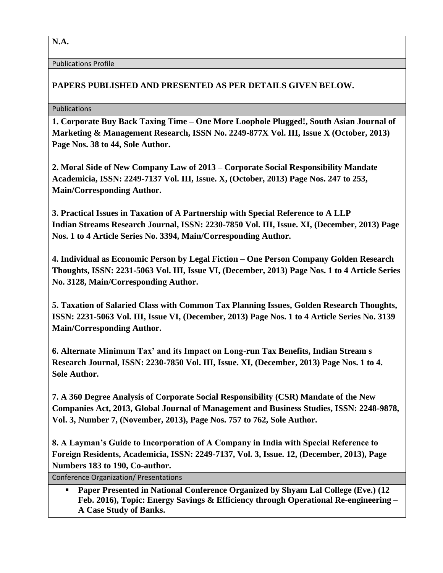**N.A.**

Publications Profile

## **PAPERS PUBLISHED AND PRESENTED AS PER DETAILS GIVEN BELOW.**

## Publications

**1. Corporate Buy Back Taxing Time – One More Loophole Plugged!, South Asian Journal of Marketing & Management Research, ISSN No. 2249-877X Vol. III, Issue X (October, 2013) Page Nos. 38 to 44, Sole Author.**

**2. Moral Side of New Company Law of 2013 – Corporate Social Responsibility Mandate Academicia, ISSN: 2249-7137 Vol. III, Issue. X, (October, 2013) Page Nos. 247 to 253, Main/Corresponding Author.**

**3. Practical Issues in Taxation of A Partnership with Special Reference to A LLP Indian Streams Research Journal, ISSN: 2230-7850 Vol. III, Issue. XI, (December, 2013) Page Nos. 1 to 4 Article Series No. 3394, Main/Corresponding Author.**

**4. Individual as Economic Person by Legal Fiction – One Person Company Golden Research Thoughts, ISSN: 2231-5063 Vol. III, Issue VI, (December, 2013) Page Nos. 1 to 4 Article Series No. 3128, Main/Corresponding Author.**

**5. Taxation of Salaried Class with Common Tax Planning Issues, Golden Research Thoughts, ISSN: 2231-5063 Vol. III, Issue VI, (December, 2013) Page Nos. 1 to 4 Article Series No. 3139 Main/Corresponding Author.**

**6. Alternate Minimum Tax' and its Impact on Long-run Tax Benefits, Indian Stream s Research Journal, ISSN: 2230-7850 Vol. III, Issue. XI, (December, 2013) Page Nos. 1 to 4. Sole Author.**

**7. A 360 Degree Analysis of Corporate Social Responsibility (CSR) Mandate of the New Companies Act, 2013, Global Journal of Management and Business Studies, ISSN: 2248-9878, Vol. 3, Number 7, (November, 2013), Page Nos. 757 to 762, Sole Author.**

**8. A Layman's Guide to Incorporation of A Company in India with Special Reference to Foreign Residents, Academicia, ISSN: 2249-7137, Vol. 3, Issue. 12, (December, 2013), Page Numbers 183 to 190, Co-author.**

Conference Organization/ Presentations

▪ **Paper Presented in National Conference Organized by Shyam Lal College (Eve.) (12 Feb. 2016), Topic: Energy Savings & Efficiency through Operational Re-engineering – A Case Study of Banks.**